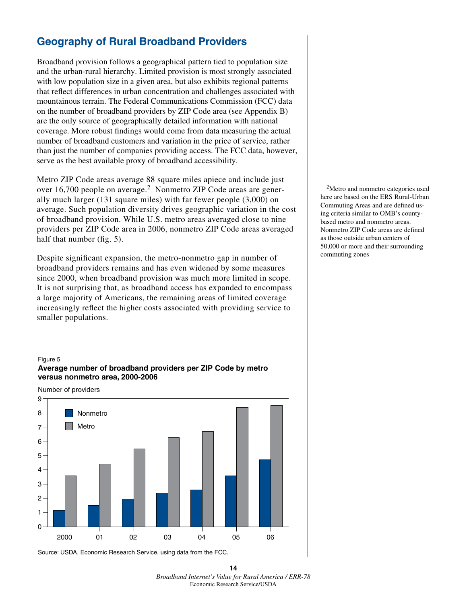# **Geography of Rural Broadband Providers**

Broadband provision follows a geographical pattern tied to population size and the urban-rural hierarchy. Limited provision is most strongly associated with low population size in a given area, but also exhibits regional patterns that reflect differences in urban concentration and challenges associated with mountainous terrain. The Federal Communications Commission (FCC) data on the number of broadband providers by ZIP Code area (see Appendix B) are the only source of geographically detailed information with national coverage. More robust findings would come from data measuring the actual number of broadband customers and variation in the price of service, rather than just the number of companies providing access. The FCC data, however, serve as the best available proxy of broadband accessibility.

Metro ZIP Code areas average 88 square miles apiece and include just over 16,700 people on average.<sup>2</sup> Nonmetro ZIP Code areas are generally much larger (131 square miles) with far fewer people (3,000) on average. Such population diversity drives geographic variation in the cost of broadband provision. While U.S. metro areas averaged close to nine providers per ZIP Code area in 2006, nonmetro ZIP Code areas averaged half that number (fig. 5).

Despite significant expansion, the metro-nonmetro gap in number of broadband providers remains and has even widened by some measures since 2000, when broadband provision was much more limited in scope. It is not surprising that, as broadband access has expanded to encompass a large majority of Americans, the remaining areas of limited coverage increasingly reflect the higher costs associated with providing service to smaller populations.

#### Figure 5

### **Average number of broadband providers per ZIP Code by metro versus nonmetro area, 2000-2006**

Number of providers



Source: USDA, Economic Research Service, using data from the FCC.

2Metro and nonmetro categories used here are based on the ERS Rural-Urban Commuting Areas and are defined using criteria similar to OMB's countybased metro and nonmetro areas. Nonmetro ZIP Code areas are defined as those outside urban centers of 50,000 or more and their surrounding commuting zones

**<sup>14</sup>** *Broadband Internet's Value for Rural America / ERR-78* Economic Research Service/USDA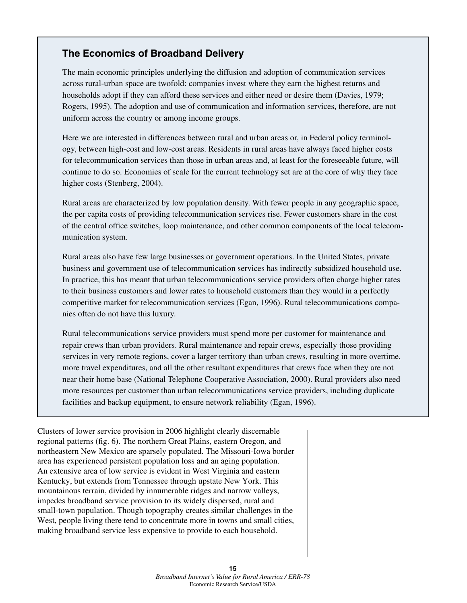## **The Economics of Broadband Delivery**

The main economic principles underlying the diffusion and adoption of communication services across rural-urban space are twofold: companies invest where they earn the highest returns and households adopt if they can afford these services and either need or desire them (Davies, 1979; Rogers, 1995). The adoption and use of communication and information services, therefore, are not uniform across the country or among income groups.

Here we are interested in differences between rural and urban areas or, in Federal policy terminology, between high-cost and low-cost areas. Residents in rural areas have always faced higher costs for telecommunication services than those in urban areas and, at least for the foreseeable future, will continue to do so. Economies of scale for the current technology set are at the core of why they face higher costs (Stenberg, 2004).

Rural areas are characterized by low population density. With fewer people in any geographic space, the per capita costs of providing telecommunication services rise. Fewer customers share in the cost of the central office switches, loop maintenance, and other common components of the local telecommunication system.

Rural areas also have few large businesses or government operations. In the United States, private business and government use of telecommunication services has indirectly subsidized household use. In practice, this has meant that urban telecommunications service providers often charge higher rates to their business customers and lower rates to household customers than they would in a perfectly competitive market for telecommunication services (Egan, 1996). Rural telecommunications companies often do not have this luxury.

Rural telecommunications service providers must spend more per customer for maintenance and repair crews than urban providers. Rural maintenance and repair crews, especially those providing services in very remote regions, cover a larger territory than urban crews, resulting in more overtime, more travel expenditures, and all the other resultant expenditures that crews face when they are not near their home base (National Telephone Cooperative Association, 2000). Rural providers also need more resources per customer than urban telecommunications service providers, including duplicate facilities and backup equipment, to ensure network reliability (Egan, 1996).

Clusters of lower service provision in 2006 highlight clearly discernable regional patterns (fig. 6). The northern Great Plains, eastern Oregon, and northeastern New Mexico are sparsely populated. The Missouri-Iowa border area has experienced persistent population loss and an aging population. An extensive area of low service is evident in West Virginia and eastern Kentucky, but extends from Tennessee through upstate New York. This mountainous terrain, divided by innumerable ridges and narrow valleys, impedes broadband service provision to its widely dispersed, rural and small-town population. Though topography creates similar challenges in the West, people living there tend to concentrate more in towns and small cities, making broadband service less expensive to provide to each household.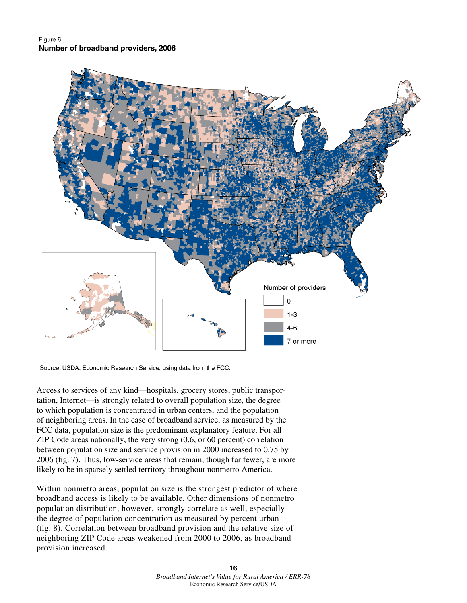Figure 6 Number of broadband providers, 2006



Source: USDA, Economic Research Service, using data from the FCC.

Access to services of any kind—hospitals, grocery stores, public transportation, Internet—is strongly related to overall population size, the degree to which population is concentrated in urban centers, and the population of neighboring areas. In the case of broadband service, as measured by the FCC data, population size is the predominant explanatory feature. For all ZIP Code areas nationally, the very strong (0.6, or 60 percent) correlation between population size and service provision in 2000 increased to 0.75 by 2006 (fig. 7). Thus, low-service areas that remain, though far fewer, are more likely to be in sparsely settled territory throughout nonmetro America.

Within nonmetro areas, population size is the strongest predictor of where broadband access is likely to be available. Other dimensions of nonmetro population distribution, however, strongly correlate as well, especially the degree of population concentration as measured by percent urban (fig. 8). Correlation between broadband provision and the relative size of neighboring ZIP Code areas weakened from 2000 to 2006, as broadband provision increased.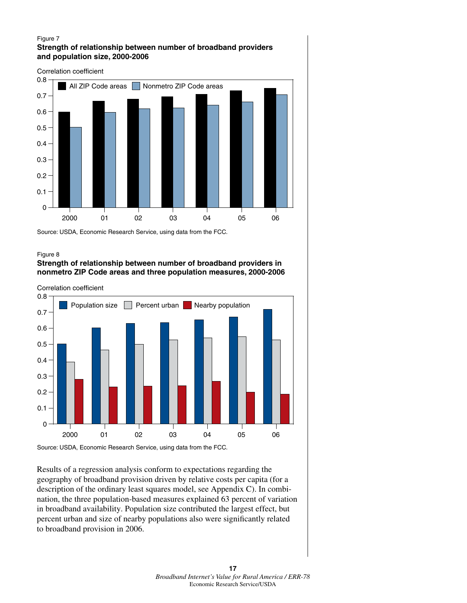#### Figure 7 **Strength of relationship between number of broadband providers and population size, 2000-2006**



Source: USDA, Economic Research Service, using data from the FCC.

#### Figure 8

### **Strength of relationship between number of broadband providers in nonmetro ZIP Code areas and three population measures, 2000-2006**

Correlation coefficient



Results of a regression analysis conform to expectations regarding the geography of broadband provision driven by relative costs per capita (for a description of the ordinary least squares model, see Appendix C). In combination, the three population-based measures explained 63 percent of variation in broadband availability. Population size contributed the largest effect, but percent urban and size of nearby populations also were significantly related to broadband provision in 2006.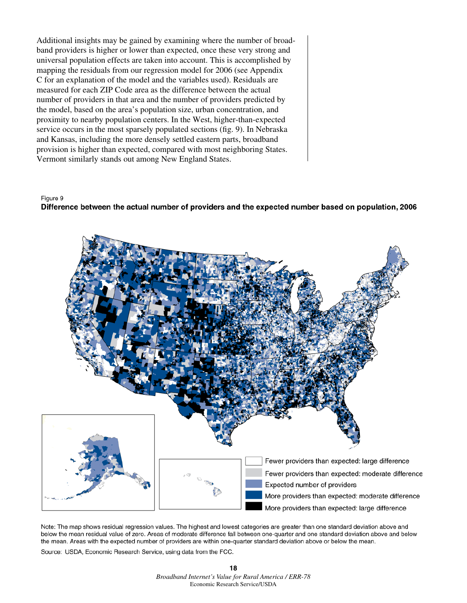Additional insights may be gained by examining where the number of broadband providers is higher or lower than expected, once these very strong and universal population effects are taken into account. This is accomplished by mapping the residuals from our regression model for 2006 (see Appendix C for an explanation of the model and the variables used). Residuals are measured for each ZIP Code area as the difference between the actual number of providers in that area and the number of providers predicted by the model, based on the area's population size, urban concentration, and proximity to nearby population centers. In the West, higher-than-expected service occurs in the most sparsely populated sections (fig. 9). In Nebraska and Kansas, including the more densely settled eastern parts, broadband provision is higher than expected, compared with most neighboring States. Vermont similarly stands out among New England States.

#### Figure 9





Note: The map shows residual regression values. The highest and lowest categories are greater than one standard deviation above and below the mean residual value of zero. Areas of moderate difference fall between one-quarter and one standard deviation above and below the mean. Areas with the expected number of providers are within one-quarter standard deviation above or below the mean.

Source: USDA, Economic Research Service, using data from the FCC.